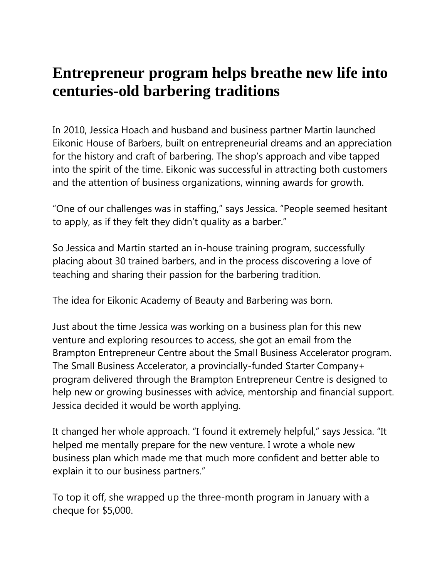## **Entrepreneur program helps breathe new life into centuries-old barbering traditions**

In 2010, Jessica Hoach and husband and business partner Martin launched Eikonic House of Barbers, built on entrepreneurial dreams and an appreciation for the history and craft of barbering. The shop's approach and vibe tapped into the spirit of the time. Eikonic was successful in attracting both customers and the attention of business organizations, winning awards for growth.

"One of our challenges was in staffing," says Jessica. "People seemed hesitant to apply, as if they felt they didn't quality as a barber."

So Jessica and Martin started an in-house training program, successfully placing about 30 trained barbers, and in the process discovering a love of teaching and sharing their passion for the barbering tradition.

The idea for Eikonic Academy of Beauty and Barbering was born.

Just about the time Jessica was working on a business plan for this new venture and exploring resources to access, she got an email from the Brampton Entrepreneur Centre about the Small Business Accelerator program. The Small Business Accelerator, a provincially-funded Starter Company+ program delivered through the Brampton Entrepreneur Centre is designed to help new or growing businesses with advice, mentorship and financial support. Jessica decided it would be worth applying.

It changed her whole approach. "I found it extremely helpful," says Jessica. "It helped me mentally prepare for the new venture. I wrote a whole new business plan which made me that much more confident and better able to explain it to our business partners."

To top it off, she wrapped up the three-month program in January with a cheque for \$5,000.